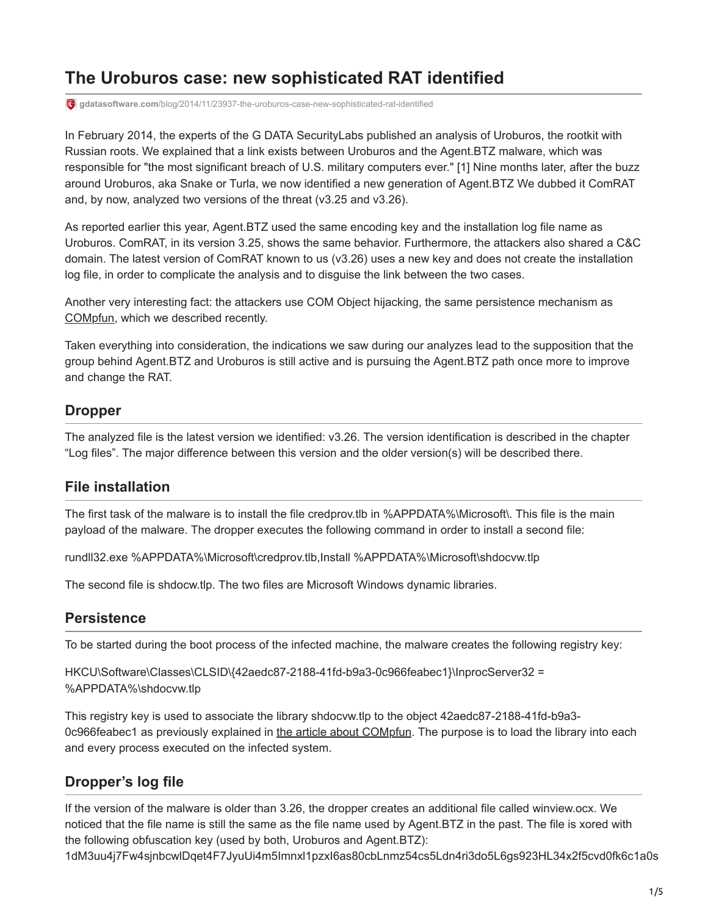# **The Uroburos case: new sophisticated RAT identified**

**gdatasoftware.com**[/blog/2014/11/23937-the-uroburos-case-new-sophisticated-rat-identified](https://www.gdatasoftware.com/blog/2014/11/23937-the-uroburos-case-new-sophisticated-rat-identified)

In February 2014, the experts of the G DATA SecurityLabs published an analysis of Uroburos, the rootkit with Russian roots. We explained that a link exists between Uroburos and the Agent.BTZ malware, which was responsible for "the most significant breach of U.S. military computers ever." [1] Nine months later, after the buzz around Uroburos, aka Snake or Turla, we now identified a new generation of Agent.BTZ We dubbed it ComRAT and, by now, analyzed two versions of the threat (v3.25 and v3.26).

As reported earlier this year, Agent.BTZ used the same encoding key and the installation log file name as Uroburos. ComRAT, in its version 3.25, shows the same behavior. Furthermore, the attackers also shared a C&C domain. The latest version of ComRAT known to us (v3.26) uses a new key and does not create the installation log file, in order to complicate the analysis and to disguise the link between the two cases.

Another very interesting fact: the attackers use COM Object hijacking, the same persistence mechanism as [COMpfun](https://www.gdatasoftware.com/blog/2014/10/23941-com-object-hijacking-the-discreet-way-of-persistence), which we described recently.

Taken everything into consideration, the indications we saw during our analyzes lead to the supposition that the group behind Agent.BTZ and Uroburos is still active and is pursuing the Agent.BTZ path once more to improve and change the RAT.

# **Dropper**

The analyzed file is the latest version we identified: v3.26. The version identification is described in the chapter "Log files". The major difference between this version and the older version(s) will be described there.

## **File installation**

The first task of the malware is to install the file credprov.tlb in %APPDATA%\Microsoft\. This file is the main payload of the malware. The dropper executes the following command in order to install a second file:

rundll32.exe %APPDATA%\Microsoft\credprov.tlb,Install %APPDATA%\Microsoft\shdocvw.tlp

The second file is shdocw.tlp. The two files are Microsoft Windows dynamic libraries.

## **Persistence**

To be started during the boot process of the infected machine, the malware creates the following registry key:

HKCU\Software\Classes\CLSID\{42aedc87-2188-41fd-b9a3-0c966feabec1}\InprocServer32 = %APPDATA%\shdocvw.tlp

This registry key is used to associate the library shdocvw.tlp to the object 42aedc87-2188-41fd-b9a3 0c966feabec1 as previously explained in [the article about COMpfun](https://www.gdatasoftware.com/blog/2014/10/23941-com-object-hijacking-the-discreet-way-of-persistence). The purpose is to load the library into each and every process executed on the infected system.

# **Dropper's log file**

If the version of the malware is older than 3.26, the dropper creates an additional file called winview.ocx. We noticed that the file name is still the same as the file name used by Agent.BTZ in the past. The file is xored with the following obfuscation key (used by both, Uroburos and Agent.BTZ):

1dM3uu4j7Fw4sjnbcwlDqet4F7JyuUi4m5Imnxl1pzxI6as80cbLnmz54cs5Ldn4ri3do5L6gs923HL34x2f5cvd0fk6c1a0s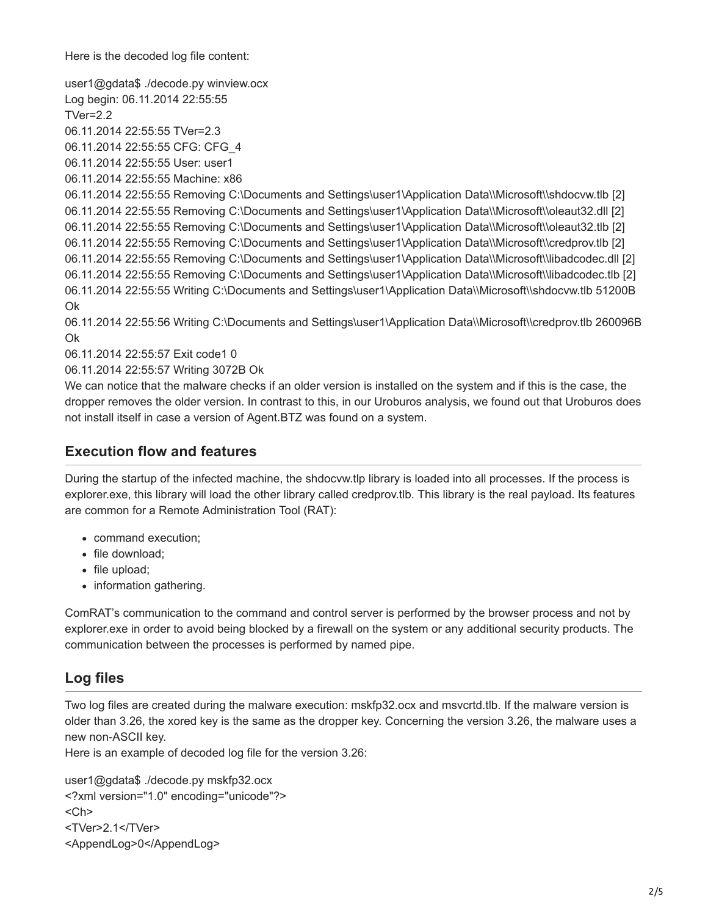Here is the decoded log file content:

user1@gdata\$ ./decode.py winview.ocx Log begin: 06.11.2014 22:55:55 TVer=2.2 06.11.2014 22:55:55 TVer=2.3 06.11.2014 22:55:55 CFG: CFG\_4 06.11.2014 22:55:55 User: user1 06.11.2014 22:55:55 Machine: x86 06.11.2014 22:55:55 Removing C:\Documents and Settings\user1\Application Data\\Microsoft\\shdocvw.tlb [2] 06.11.2014 22:55:55 Removing C:\Documents and Settings\user1\Application Data\\Microsoft\\oleaut32.dll [2] 06.11.2014 22:55:55 Removing C:\Documents and Settings\user1\Application Data\\Microsoft\\oleaut32.tlb [2] 06.11.2014 22:55:55 Removing C:\Documents and Settings\user1\Application Data\\Microsoft\\credprov.tlb [2] 06.11.2014 22:55:55 Removing C:\Documents and Settings\user1\Application Data\\Microsoft\\libadcodec.dll [2] 06.11.2014 22:55:55 Removing C:\Documents and Settings\user1\Application Data\\Microsoft\\libadcodec.tlb [2] 06.11.2014 22:55:55 Writing C:\Documents and Settings\user1\Application Data\\Microsoft\\shdocvw.tlb 51200B Ok

06.11.2014 22:55:56 Writing C:\Documents and Settings\user1\Application Data\\Microsoft\\credprov.tlb 260096B Ok

06.11.2014 22:55:57 Exit code1 0

06.11.2014 22:55:57 Writing 3072B Ok

We can notice that the malware checks if an older version is installed on the system and if this is the case, the dropper removes the older version. In contrast to this, in our Uroburos analysis, we found out that Uroburos does not install itself in case a version of Agent.BTZ was found on a system.

### **Execution flow and features**

During the startup of the infected machine, the shdocvw.tlp library is loaded into all processes. If the process is explorer.exe, this library will load the other library called credprov.tlb. This library is the real payload. Its features are common for a Remote Administration Tool (RAT):

- command execution;
- file download;
- file upload;
- information gathering.

ComRAT's communication to the command and control server is performed by the browser process and not by explorer.exe in order to avoid being blocked by a firewall on the system or any additional security products. The communication between the processes is performed by named pipe.

## **Log files**

Two log files are created during the malware execution: mskfp32.ocx and msvcrtd.tlb. If the malware version is older than 3.26, the xored key is the same as the dropper key. Concerning the version 3.26, the malware uses a new non-ASCII key.

Here is an example of decoded log file for the version 3.26:

user1@gdata\$ ./decode.py mskfp32.ocx <?xml version="1.0" encoding="unicode"?>  $<$ Ch $>$ <TVer>2.1</TVer> <AppendLog>0</AppendLog>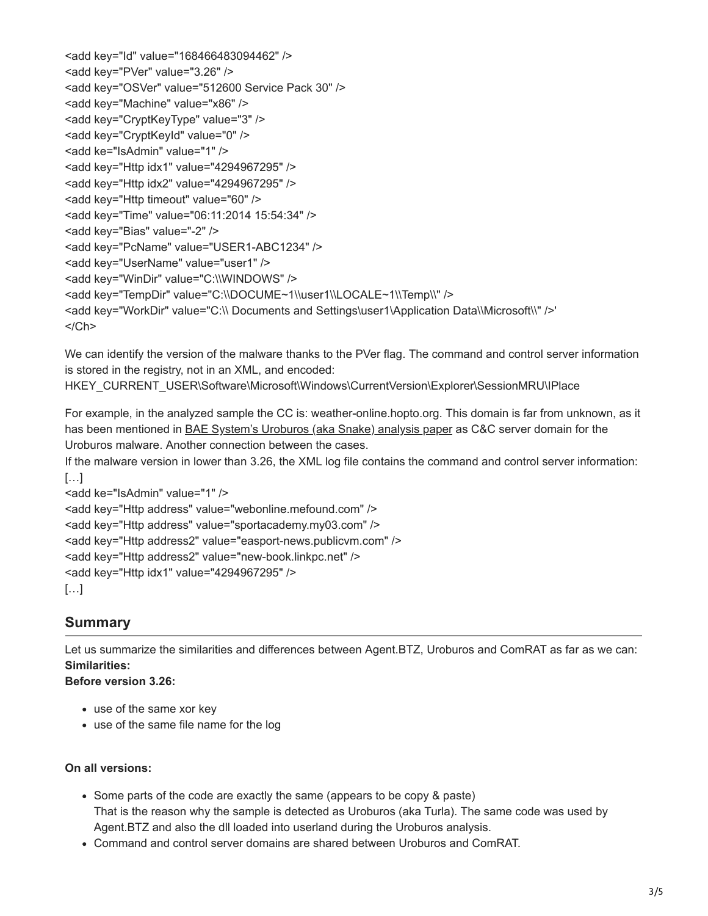```
<add key="Id" value="168466483094462" />
<add key="PVer" value="3.26" />
<add key="OSVer" value="512600 Service Pack 30" />
<add key="Machine" value="x86" />
<add key="CryptKeyType" value="3" />
<add key="CryptKeyId" value="0" />
<add ke="IsAdmin" value="1" />
<add key="Http idx1" value="4294967295" />
<add key="Http idx2" value="4294967295" />
<add key="Http timeout" value="60" />
<add key="Time" value="06:11:2014 15:54:34" />
<add key="Bias" value="-2" />
<add key="PcName" value="USER1-ABC1234" />
<add key="UserName" value="user1" />
<add key="WinDir" value="C:\\WINDOWS" />
<add key="TempDir" value="C:\\DOCUME~1\\user1\\LOCALE~1\\Temp\\" />
<add key="WorkDir" value="C:\\ Documents and Settings\user1\Application Data\\Microsoft\\" />'
</Ch
```
We can identify the version of the malware thanks to the PVer flag. The command and control server information is stored in the registry, not in an XML, and encoded:

HKEY\_CURRENT\_USER\Software\Microsoft\Windows\CurrentVersion\Explorer\SessionMRU\IPlace

For example, in the analyzed sample the CC is: weather-online.hopto.org. This domain is far from unknown, as it has been mentioned in [BAE System's Uroburos \(aka Snake\) analysis paper](http://info.baesystemsdetica.com/rs/baesystems/images/snake_whitepaper.pdf) as C&C server domain for the Uroburos malware. Another connection between the cases.

If the malware version in lower than 3.26, the XML log file contains the command and control server information:  $[...]$ 

```
<add ke="IsAdmin" value="1" />
<add key="Http address" value="webonline.mefound.com" /> 
<add key="Http address" value="sportacademy.my03.com" />
<add key="Http address2" value="easport-news.publicvm.com" />
<add key="Http address2" value="new-book.linkpc.net" />
<add key="Http idx1" value="4294967295" />
[...]
```
# **Summary**

Let us summarize the similarities and differences between Agent.BTZ, Uroburos and ComRAT as far as we can: **Similarities:**

**Before version 3.26:**

- use of the same xor key
- use of the same file name for the log

### **On all versions:**

- Some parts of the code are exactly the same (appears to be copy & paste) That is the reason why the sample is detected as Uroburos (aka Turla). The same code was used by Agent.BTZ and also the dll loaded into userland during the Uroburos analysis.
- Command and control server domains are shared between Uroburos and ComRAT.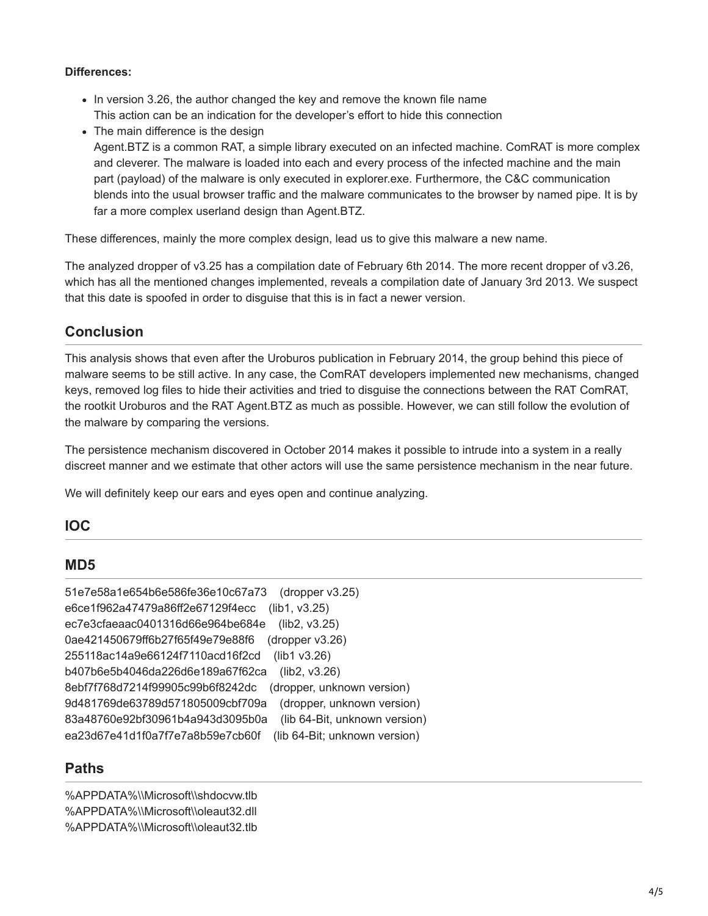#### **Differences:**

- In version 3.26, the author changed the key and remove the known file name This action can be an indication for the developer's effort to hide this connection
- The main difference is the design

Agent.BTZ is a common RAT, a simple library executed on an infected machine. ComRAT is more complex and cleverer. The malware is loaded into each and every process of the infected machine and the main part (payload) of the malware is only executed in explorer.exe. Furthermore, the C&C communication blends into the usual browser traffic and the malware communicates to the browser by named pipe. It is by far a more complex userland design than Agent.BTZ.

These differences, mainly the more complex design, lead us to give this malware a new name.

The analyzed dropper of v3.25 has a compilation date of February 6th 2014. The more recent dropper of v3.26, which has all the mentioned changes implemented, reveals a compilation date of January 3rd 2013. We suspect that this date is spoofed in order to disguise that this is in fact a newer version.

## **Conclusion**

This analysis shows that even after the Uroburos publication in February 2014, the group behind this piece of malware seems to be still active. In any case, the ComRAT developers implemented new mechanisms, changed keys, removed log files to hide their activities and tried to disguise the connections between the RAT ComRAT, the rootkit Uroburos and the RAT Agent.BTZ as much as possible. However, we can still follow the evolution of the malware by comparing the versions.

The persistence mechanism discovered in October 2014 makes it possible to intrude into a system in a really discreet manner and we estimate that other actors will use the same persistence mechanism in the near future.

We will definitely keep our ears and eyes open and continue analyzing.

### **IOC**

### **MD5**

| 51e7e58a1e654b6e586fe36e10c67a73<br>(dropper $v3.25$ )            |
|-------------------------------------------------------------------|
| e6ce1f962a47479a86ff2e67129f4ecc<br>(lib1, v3.25)                 |
| (lib2, v3.25)<br>ec7e3cfaeaac0401316d66e964be684e                 |
| (dropper v3.26)<br>0ae421450679ff6b27f65f49e79e88f6               |
| (lib1 v3.26)<br>255118ac14a9e66124f7110acd16f2cd                  |
| (lib2, v3.26)<br>b407b6e5b4046da226d6e189a67f62ca                 |
| 8ebf7f768d7214f99905c99b6f8242dc<br>(dropper, unknown version)    |
| (dropper, unknown version)<br>9d481769de63789d571805009cbf709a    |
| (lib 64-Bit, unknown version)<br>83a48760e92bf30961b4a943d3095b0a |
| (lib 64-Bit; unknown version)<br>ea23d67e41d1f0a7f7e7a8b59e7cb60f |

### **Paths**

%APPDATA%\\Microsoft\\shdocvw.tlb %APPDATA%\\Microsoft\\oleaut32.dll %APPDATA%\\Microsoft\\oleaut32.tlb